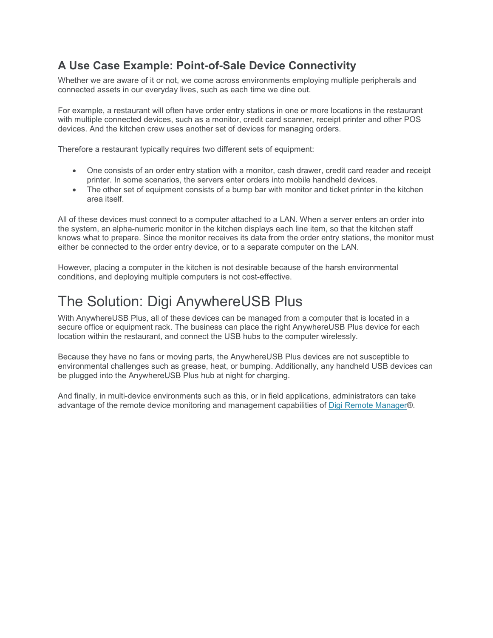### **A Use Case Example: Point-of-Sale Device Connectivity**

Whether we are aware of it or not, we come across environments employing multiple peripherals and connected assets in our everyday lives, such as each time we dine out.

For example, a restaurant will often have order entry stations in one or more locations in the restaurant with multiple connected devices, such as a monitor, credit card scanner, receipt printer and other POS devices. And the kitchen crew uses another set of devices for managing orders.

Therefore a restaurant typically requires two different sets of equipment:

- One consists of an order entry station with a monitor, cash drawer, credit card reader and receipt printer. In some scenarios, the servers enter orders into mobile handheld devices.
- The other set of equipment consists of a bump bar with monitor and ticket printer in the kitchen area itself.

All of these devices must connect to a computer attached to a LAN. When a server enters an order into the system, an alpha-numeric monitor in the kitchen displays each line item, so that the kitchen staff knows what to prepare. Since the monitor receives its data from the order entry stations, the monitor must either be connected to the order entry device, or to a separate computer on the LAN.

However, placing a computer in the kitchen is not desirable because of the harsh environmental conditions, and deploying multiple computers is not cost-effective.

## The Solution: Digi AnywhereUSB Plus

With AnywhereUSB Plus, all of these devices can be managed from a computer that is located in a secure office or equipment rack. The business can place the right AnywhereUSB Plus device for each location within the restaurant, and connect the USB hubs to the computer wirelessly.

Because they have no fans or moving parts, the AnywhereUSB Plus devices are not susceptible to environmental challenges such as grease, heat, or bumping. Additionally, any handheld USB devices can be plugged into the AnywhereUSB Plus hub at night for charging.

And finally, in multi-device environments such as this, or in field applications, administrators can take advantage of the remote device monitoring and management capabilities of Digi Remote Manager®.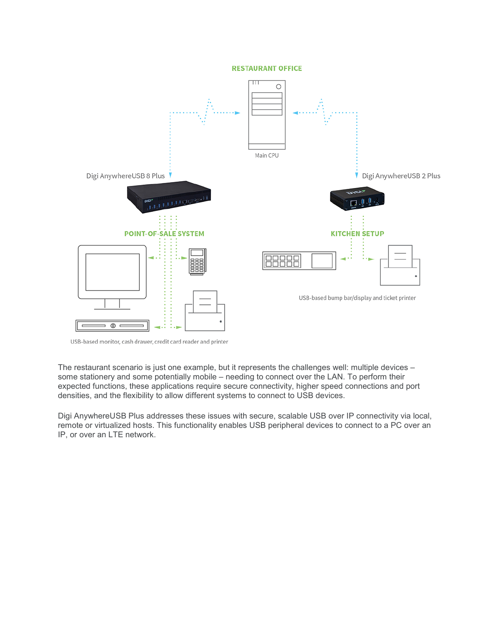#### **RESTAURANT OFFICE**



USB-based monitor, cash drawer, credit card reader and printer

The restaurant scenario is just one example, but it represents the challenges well: multiple devices – some stationery and some potentially mobile – needing to connect over the LAN. To perform their expected functions, these applications require secure connectivity, higher speed connections and port densities, and the flexibility to allow different systems to connect to USB devices.

Digi AnywhereUSB Plus addresses these issues with secure, scalable USB over IP connectivity via local, remote or virtualized hosts. This functionality enables USB peripheral devices to connect to a PC over an IP, or over an LTE network.